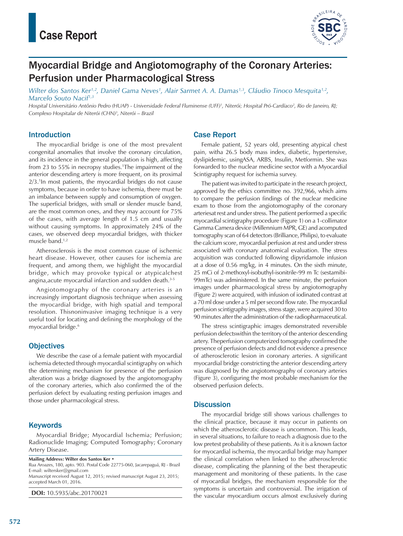

# Myocardial Bridge and Angiotomography of the Coronary Arteries: Perfusion under Pharmacological Stress

*Wilter dos Santos Ker1,2, Daniel Gama Neves1 , Alair Sarmet A. A. Damas1,3, Cláudio Tinoco Mesquita1,2, Marcelo Souto Nacif1,3*

*Hospital Universitário Antônio Pedro (HUAP) - Universidade Federal Fluminense (UFF)1 , Niterói; Hospital Pró-Cardíaco2 , Rio de Janeiro, RJ; Complexo Hospitalar de Niterói (CHN)3 , Niterói – Brazil*

### Introduction

The myocardial bridge is one of the most prevalent congenital anomalies that involve the coronary circulation, and its incidence in the general population is high, affecting from 23 to 55% in necropsy studies.1 The impairment of the anterior descending artery is more frequent, on its proximal 2/3.1 In most patients, the myocardial bridges do not cause symptoms, because in order to have ischemia, there must be an imbalance between supply and consumption of oxygen. The superficial bridges, with small or slender muscle band, are the most common ones, and they may account for 75% of the cases, with average length of 1.5 cm and usually without causing symptoms. In approximately 24% of the cases, we observed deep myocardial bridges, with thicker muscle band.1,2

Atherosclerosis is the most common cause of ischemic heart disease. However, other causes for ischemia are frequent, and among them, we highlight the myocardial bridge, which may provoke typical or atypicalchest angina,acute myocardial infarction and sudden death.3-5

Angiotomography of the coronary arteries is an increasingly important diagnosis technique when assessing the myocardial bridge, with high spatial and temporal resolution. Thisnoninvasive imaging technique is a very useful tool for locating and defining the morphology of the myocardial bridge.<sup>6</sup>

## **Objectives**

We describe the case of a female patient with myocardial ischemia detected through myocardial scintigraphy on which the determining mechanism for presence of the perfusion alteration was a bridge diagnosed by the angiotomography of the coronary arteries, which also confirmed the of the perfusion defect by evaluating resting perfusion images and those under pharmacological stress.

## **Keywords**

Myocardial Bridge; Myocardial Ischemia; Perfusion; Radionuclide Imaging; Computed Tomography; Coronary Artery Disease.

**Mailing Address: Wilter dos Santos Ker •**

Rua Aroazes, 180, apto. 903. Postal Code 22775-060, Jacarepaguá, RJ - Brazil E-mail: wiltersker@gmail.com Manuscript received August 12, 2015; revised manuscript August 23, 2015; accepted March 01, 2016.

**DOI:** 10.5935/abc.20170021

## Case Report

Female patient, 52 years old, presenting atypical chest pain, witha 26.5 body mass index, diabetic, hypertensive, dyslipidemic, usingASA, ARBS, Insulin, Metformin. She was forwarded to the nuclear medicine sector with a Myocardial Scintigraphy request for ischemia survey.

The patient was invited to participate in the research project, approved by the ethics committee no. 392,966, which aims to compare the perfusion findings of the nuclear medicine exam to those from the angiotomography of the coronary arteriesat rest and under stress. The patient performed a specific myocardial scintigraphy procedure (Figure 1) on a 1-collimator Gamma Camera device (Millennium MPR, GE) and acomputed tomography scan of 64 detectors (Brilliance, Philips), to evaluate the calcium score, myocardial perfusion at rest and under stress associated with coronary anatomical evaluation. The stress acquisition was conducted following dipyridamole infusion at a dose of 0.56 mg/kg, in 4 minutes. On the sixth minute, 25 mCi of 2-methoxyl-isobuthyl-isonitrile-99 m Tc (sestamibi-99mTc) was administered. In the same minute, the perfusion images under pharmacological stress by angiotomography (Figure 2) were acquired, with infusion of iodinated contrast at a 70 ml dose under a 5 ml per second flow rate. The myocardial perfusion scintigraphy images, stress stage, were acquired 30 to 90 minutes after the administration of the radiopharmaceutical.

The stress scintigraphic images demonstrated reversible perfusion defectswithin the territory of the anterior descending artery. Theperfusion computerized tomography confirmed the presence of perfusion defects and did not evidence a presence of atherosclerotic lesion in coronary arteries. A significant myocardial bridge constricting the anterior descending artery was diagnosed by the angiotomography of coronary arteries (Figure 3), configuring the most probable mechanism for the observed perfusion defects.

### **Discussion**

The myocardial bridge still shows various challenges to the clinical practice, because it may occur in patients on which the atherosclerotic disease is uncommon. This leads, in several situations, to failure to reach a diagnosis due to the low pretest probability of these patients. As it is a known factor for myocardial ischemia, the myocardial bridge may hamper the clinical correlation when linked to the atherosclerotic disease, complicating the planning of the best therapeutic management and monitoring of these patients. In the case of myocardial bridges, the mechanism responsible for the symptoms is uncertain and controversial. The irrigation of the vascular myocardium occurs almost exclusively during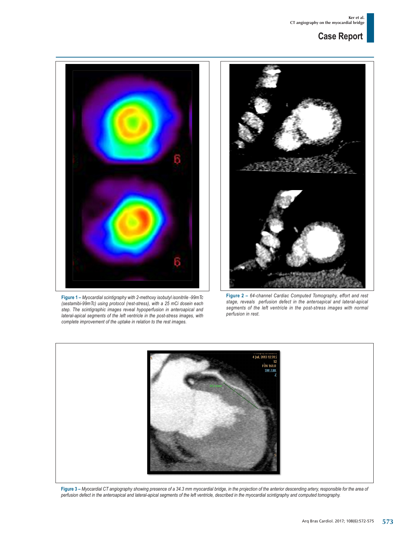## **Case Report**



**Figure 1 –** *Myocardial scintigraphy with 2-methoxy isobutyl isonitrile -99mTc (sestamibi-99mTc) using protocol (rest-stress), with a 25 mCi dosein each step. The scintigraphic images reveal hypoperfusion in anteroapical and lateral-apical segments of the left ventricle in the post-stress images, with complete improvement of the uptake in relation to the rest images.*



**Figure 2 –** *64-channel Cardiac Computed Tomography, effort and rest stage, reveals perfusion defect in the anteroapical and lateral-apical segments of the left ventricle in the post-stress images with normal perfusion in rest.*



**Figure 3 –** *Myocardial CT angiography showing presence of a 34.3 mm myocardial bridge, in the projection of the anterior descending artery, responsible for the area of perfusion defect in the anteroapical and lateral-apical segments of the left ventricle, described in the myocardial scintigraphy and computed tomography.*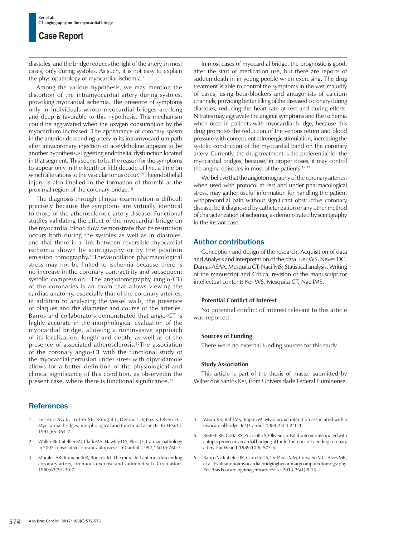## **Case Report**

diastoles, and the bridge reduces the light of the artery, in most cases, only during systoles. As such, it is not easy to explain the physiopathology of myocardial ischemia.7

Among the various hypothesis, we may mention the distortion of the intramyocardial artery during systoles, provoking myocardial ischemia. The presence of symptoms only in individuals whose myocardial bridges are long and deep is favorable to this hypothesis. This mechanism could be aggravated when the oxygen consumption by the myocardium increased. The appearance of coronary spasm in the anterior descending artery in its intramyocardium path after intracoronary injection of acetylcholine appears to be another hypothesis, suggesting endothelial dysfunction located in that segment. This seems to be the reason for the symptoms to appear only in the fourth or fifth decade of live, a time on which alterations to the vascular tonus occur.<sup>8,9</sup>Theendothelial injury is also implied in the formation of thrombi at the proximal region of the coronary bridge.10

The diagnosis through clinical examination is difficult precisely because the symptoms are virtually identical to those of the atherosclerotic artery disease. Functional studies validating the effect of the myocardial bridge on the myocardial blood flow demonstrate that its restriction occurs both during the systoles as well as in diastoles, and that there is a link between reversible myocardial ischemia shown by scintigraphy or by the positron emission tomography.11Thevasodilator pharmacological stress may not be linked to ischemia because there is no increase in the coronary contractility and subsequent systolic compression.11The angiotomography (angio-CT) of the coronaries is an exam that allows viewing the cardiac anatomy, especially that of the coronary arteries, in addition to analyzing the vessel walls, the presence of plaques and the diameter and course of the arteries. Barros and collaborators demonstrated that angio-CT is highly accurate in the morphological evaluation of the myocardial bridge, allowing a noninvasive approach of its localization, length and depth, as well as of the presence of associated atherosclerosis.12The association of the coronary angio-CT with the functional study of the myocardial perfusion under stress with dipyridamole allows for a better definition of the physiological and clinical significance of this condition, as observedin the present case, where there is functional significance.<sup>12</sup>

## **References**

- 1. Ferreira AG Jr, Trotter SE, König B Jr,Décourt LV,Fox K,Olsen EG. Myocardial bridges: morphological and functional aspects. Br Heart J. 1991;66:364-7.
- 2. Waller BF, Catellier MJ, Clark MA, Hawley DA, Pless JE. Cardiac pathology in 2007 consecutive foresinc autopsies.ClinCardiol. 1992;15(10):760-5.
- 3. Morales AR, Romanelli R, Boucek RJ. The mural left anterior descending coronary artery, strenuous exercise and sudden death. Circulation. 1980;62(2):230-7.

In most cases of myocardial bridge, the prognostic is good, after the start of medication use, but there are reports of sudden death in in young people when exercising. The drug treatment is able to control the symptoms in the vast majority of cases, using beta-blockers and antagonists of calcium channels, providing better filling of the diseased coronary during diastoles, reducing the heart rate at rest and during efforts. Nitrates may aggravate the anginal symptoms and the ischemia when used in patients with myocardial bridge, because this drug promotes the reduction of the venous return and blood pressure with consequent adrenergic stimulation, increasing the systolic constriction of the myocardial band on the coronary artery. Currently, the drug treatment is the preferential for the myocardial bridges, because, in proper doses, it may control the angina episodes in most of the patients.<sup>12,13</sup>

We believe that the angiotomography of the coronary arteries, when used with protocol at rest and under pharmacological stress, may gather useful information for handling the patient withprecordial pain without significant obstructive coronary disease, be it diagnosed by catheterization or any other method of characterization of ischemia, as demonstrated by scintigraphy in the instant case.

## Author contributions

Conception and design of the research, Acquisition of data and Analysis and interpretation of the data: Ker WS, Neves DG, Damas ASAA, Mesquita CT, NacifMS; Statistical analysis, Writing of the manuscript and Critical revision of the manuscript for intellectual content: Ker WS, Mesquita CT, NacifMS.

### **Potential Conflict of Interest**

No potential conflict of interest relevant to this article was reported.

#### **Sources of Funding**

There were no external funding sources for this study.

#### **Study Association**

This article is part of the thesis of master submitted by Wilter dos Santos Ker, from Universidade Federal Fluminense.

- 4. Vasan RS, Bahl VK, Rajani M. Myocardial infarction associated with a myocardial bridge. Int J Cardiol. 1989;25(2):240-1.
- 5. Bestetti RB, Costa RS, Zucolotto S, Oliveira JS. Fatal outcome associated with autopsy proven myocardial bridging of the left anterior descending coronary artery. Eur Heart J. 1989;10(6):573-6.
- 6. Barros M, Rabelo DR, Garretto LS, De Paula MM, Carvalho MO, Alves MR, et al. Evaluationofmyocardialbridgingbycoronarycomputedtomography. Rev Bras Ecocardiogrimagemcardiovasc. 2013;26(1):8-15.